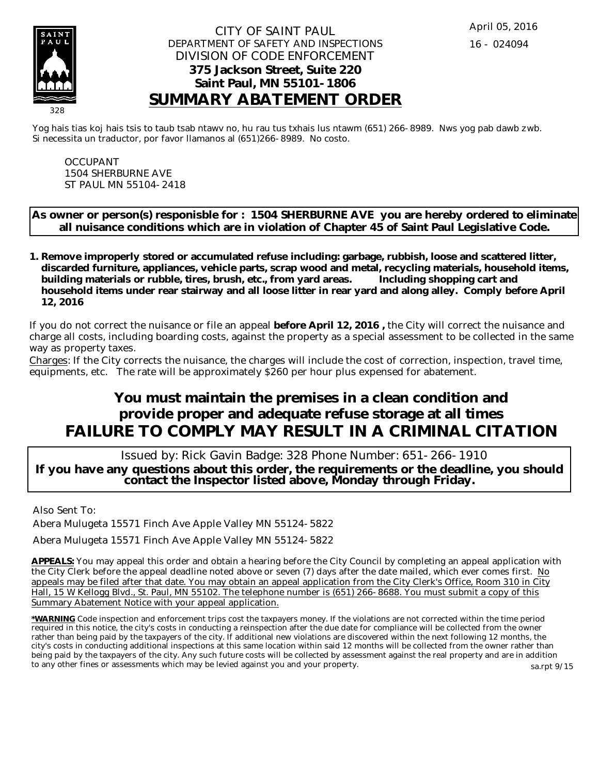

#### CITY OF SAINT PAUL DEPARTMENT OF SAFETY AND INSPECTIONS DIVISION OF CODE ENFORCEMENT **375 Jackson Street, Suite 220 Saint Paul, MN 55101-1806 SUMMARY ABATEMENT ORDER**

Yog hais tias koj hais tsis to taub tsab ntawv no, hu rau tus txhais lus ntawm (651) 266-8989. Nws yog pab dawb zwb. Si necessita un traductor, por favor llamanos al (651)266-8989. No costo.

OCCUPANT 1504 SHERBURNE AVE ST PAUL MN 55104-2418

**As owner or person(s) responisble for : 1504 SHERBURNE AVE you are hereby ordered to eliminate all nuisance conditions which are in violation of Chapter 45 of Saint Paul Legislative Code.**

**Remove improperly stored or accumulated refuse including: garbage, rubbish, loose and scattered litter, 1. discarded furniture, appliances, vehicle parts, scrap wood and metal, recycling materials, household items, building materials or rubble, tires, brush, etc., from yard areas. Including shopping cart and household items under rear stairway and all loose litter in rear yard and along alley. Comply before April 12, 2016**

If you do not correct the nuisance or file an appeal **before April 12, 2016 ,** the City will correct the nuisance and charge all costs, including boarding costs, against the property as a special assessment to be collected in the same way as property taxes.

Charges: If the City corrects the nuisance, the charges will include the cost of correction, inspection, travel time, equipments, etc. The rate will be approximately \$260 per hour plus expensed for abatement.

# **You must maintain the premises in a clean condition and provide proper and adequate refuse storage at all times FAILURE TO COMPLY MAY RESULT IN A CRIMINAL CITATION**

 Issued by: Rick Gavin Badge: 328 Phone Number: 651-266-1910 **If you have any questions about this order, the requirements or the deadline, you should contact the Inspector listed above, Monday through Friday.**

Also Sent To:

Abera Mulugeta 15571 Finch Ave Apple Valley MN 55124-5822

Abera Mulugeta 15571 Finch Ave Apple Valley MN 55124-5822

**APPEALS:** You may appeal this order and obtain a hearing before the City Council by completing an appeal application with the City Clerk before the appeal deadline noted above or seven (7) days after the date mailed, which ever comes first. No appeals may be filed after that date. You may obtain an appeal application from the City Clerk's Office, Room 310 in City Hall, 15 W Kellogg Blvd., St. Paul, MN 55102. The telephone number is (651) 266-8688. You must submit a copy of this Summary Abatement Notice with your appeal application.

**\*WARNING** Code inspection and enforcement trips cost the taxpayers money. If the violations are not corrected within the time period required in this notice, the city's costs in conducting a reinspection after the due date for compliance will be collected from the owner rather than being paid by the taxpayers of the city. If additional new violations are discovered within the next following 12 months, the city's costs in conducting additional inspections at this same location within said 12 months will be collected from the owner rather than being paid by the taxpayers of the city. Any such future costs will be collected by assessment against the real property and are in addition to any other fines or assessments which may be levied against you and your property. sa.rpt 9/15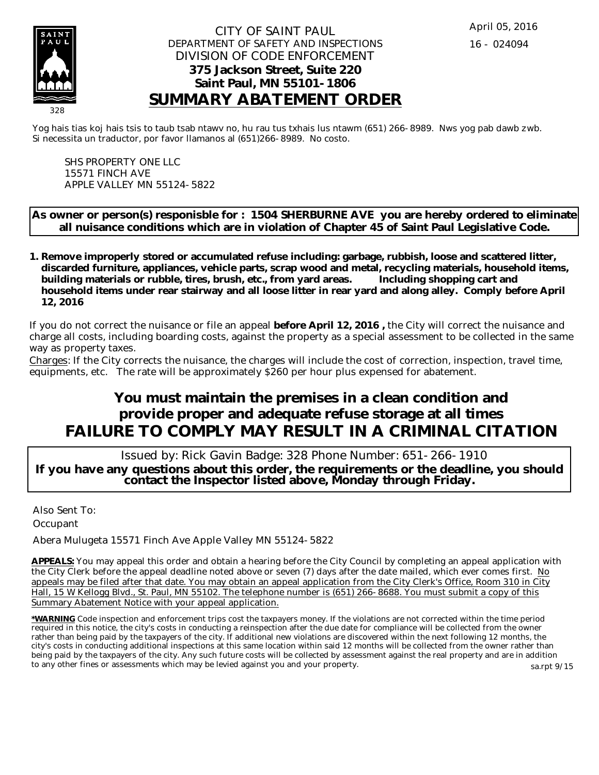

#### CITY OF SAINT PAUL DEPARTMENT OF SAFETY AND INSPECTIONS DIVISION OF CODE ENFORCEMENT **375 Jackson Street, Suite 220 Saint Paul, MN 55101-1806 SUMMARY ABATEMENT ORDER**

Yog hais tias koj hais tsis to taub tsab ntawv no, hu rau tus txhais lus ntawm (651) 266-8989. Nws yog pab dawb zwb. Si necessita un traductor, por favor llamanos al (651)266-8989. No costo.

SHS PROPERTY ONE LLC 15571 FINCH AVE APPLE VALLEY MN 55124-5822

**As owner or person(s) responisble for : 1504 SHERBURNE AVE you are hereby ordered to eliminate all nuisance conditions which are in violation of Chapter 45 of Saint Paul Legislative Code.**

**Remove improperly stored or accumulated refuse including: garbage, rubbish, loose and scattered litter, 1. discarded furniture, appliances, vehicle parts, scrap wood and metal, recycling materials, household items, building materials or rubble, tires, brush, etc., from yard areas. Including shopping cart and household items under rear stairway and all loose litter in rear yard and along alley. Comply before April 12, 2016**

If you do not correct the nuisance or file an appeal **before April 12, 2016 ,** the City will correct the nuisance and charge all costs, including boarding costs, against the property as a special assessment to be collected in the same way as property taxes.

Charges: If the City corrects the nuisance, the charges will include the cost of correction, inspection, travel time, equipments, etc. The rate will be approximately \$260 per hour plus expensed for abatement.

# **You must maintain the premises in a clean condition and provide proper and adequate refuse storage at all times FAILURE TO COMPLY MAY RESULT IN A CRIMINAL CITATION**

 Issued by: Rick Gavin Badge: 328 Phone Number: 651-266-1910 **If you have any questions about this order, the requirements or the deadline, you should contact the Inspector listed above, Monday through Friday.**

Also Sent To: **Occupant** 

Abera Mulugeta 15571 Finch Ave Apple Valley MN 55124-5822

**APPEALS:** You may appeal this order and obtain a hearing before the City Council by completing an appeal application with the City Clerk before the appeal deadline noted above or seven (7) days after the date mailed, which ever comes first. No appeals may be filed after that date. You may obtain an appeal application from the City Clerk's Office, Room 310 in City Hall, 15 W Kellogg Blvd., St. Paul, MN 55102. The telephone number is (651) 266-8688. You must submit a copy of this Summary Abatement Notice with your appeal application.

**\*WARNING** Code inspection and enforcement trips cost the taxpayers money. If the violations are not corrected within the time period required in this notice, the city's costs in conducting a reinspection after the due date for compliance will be collected from the owner rather than being paid by the taxpayers of the city. If additional new violations are discovered within the next following 12 months, the city's costs in conducting additional inspections at this same location within said 12 months will be collected from the owner rather than being paid by the taxpayers of the city. Any such future costs will be collected by assessment against the real property and are in addition to any other fines or assessments which may be levied against you and your property. sa.rpt 9/15